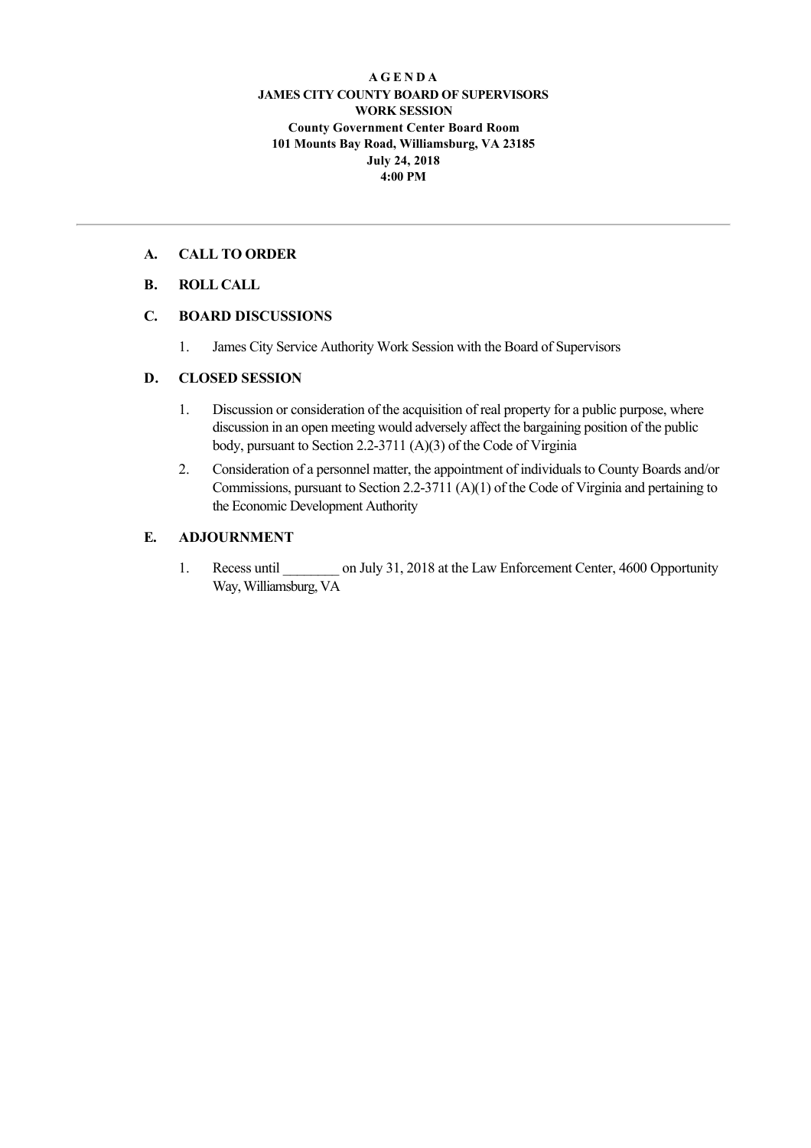#### **A G E N D A JAMES CITY COUNTY BOARD OF SUPERVISORS WORK SESSION County Government Center Board Room 101 Mounts Bay Road, Williamsburg, VA 23185 July 24, 2018 4:00 PM**

### **A. CALL TO ORDER**

### **B. ROLL CALL**

### **C. BOARD DISCUSSIONS**

1. James City Service Authority Work Session with the Board of Supervisors

### **D. CLOSED SESSION**

- 1. Discussion or consideration of the acquisition of real property for a public purpose, where discussion in an open meeting would adversely affect the bargaining position of the public body, pursuant to Section 2.2-3711 (A)(3) of the Code of Virginia
- 2. Consideration of a personnel matter, the appointment of individuals to County Boards and/or Commissions, pursuant to Section 2.23711 (A)(1) of the Code of Virginia and pertaining to the Economic Development Authority

### **E. ADJOURNMENT**

1. Recess until \_\_\_\_\_\_\_\_ on July 31, 2018 at the Law Enforcement Center, 4600 Opportunity Way, Williamsburg, VA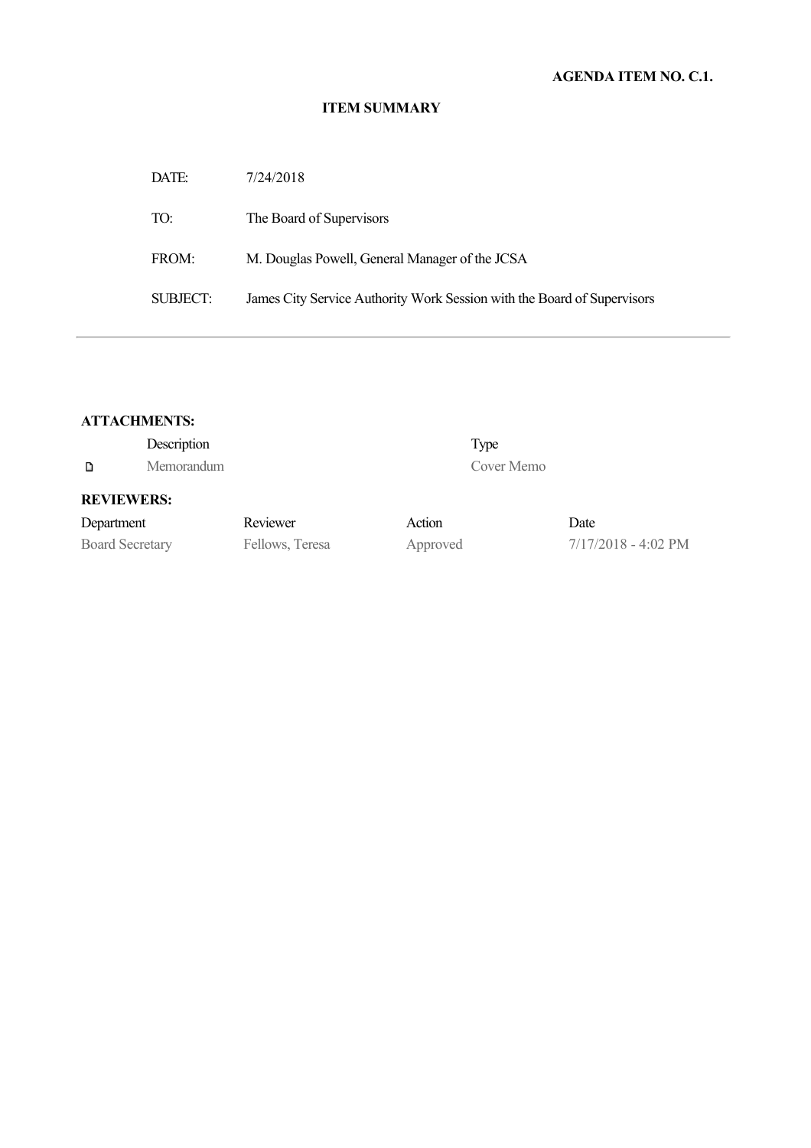# **AGENDA ITEM NO. C.1.**

#### **ITEM SUMMARY**

| DATE:           | 7/24/2018                                                               |
|-----------------|-------------------------------------------------------------------------|
| TO:             | The Board of Supervisors                                                |
| FROM:           | M. Douglas Powell, General Manager of the JCSA                          |
| <b>SUBJECT:</b> | James City Service Authority Work Session with the Board of Supervisors |

| <b>ATTACHMENTS:</b> |  |
|---------------------|--|
|---------------------|--|

|                        | Description |                 |          | Type       |                       |
|------------------------|-------------|-----------------|----------|------------|-----------------------|
| D                      | Memorandum  |                 |          | Cover Memo |                       |
| <b>REVIEWERS:</b>      |             |                 |          |            |                       |
| Department             |             | Reviewer        | Action   |            | Date                  |
| <b>Board Secretary</b> |             | Fellows, Teresa | Approved |            | $7/17/2018 - 4:02$ PM |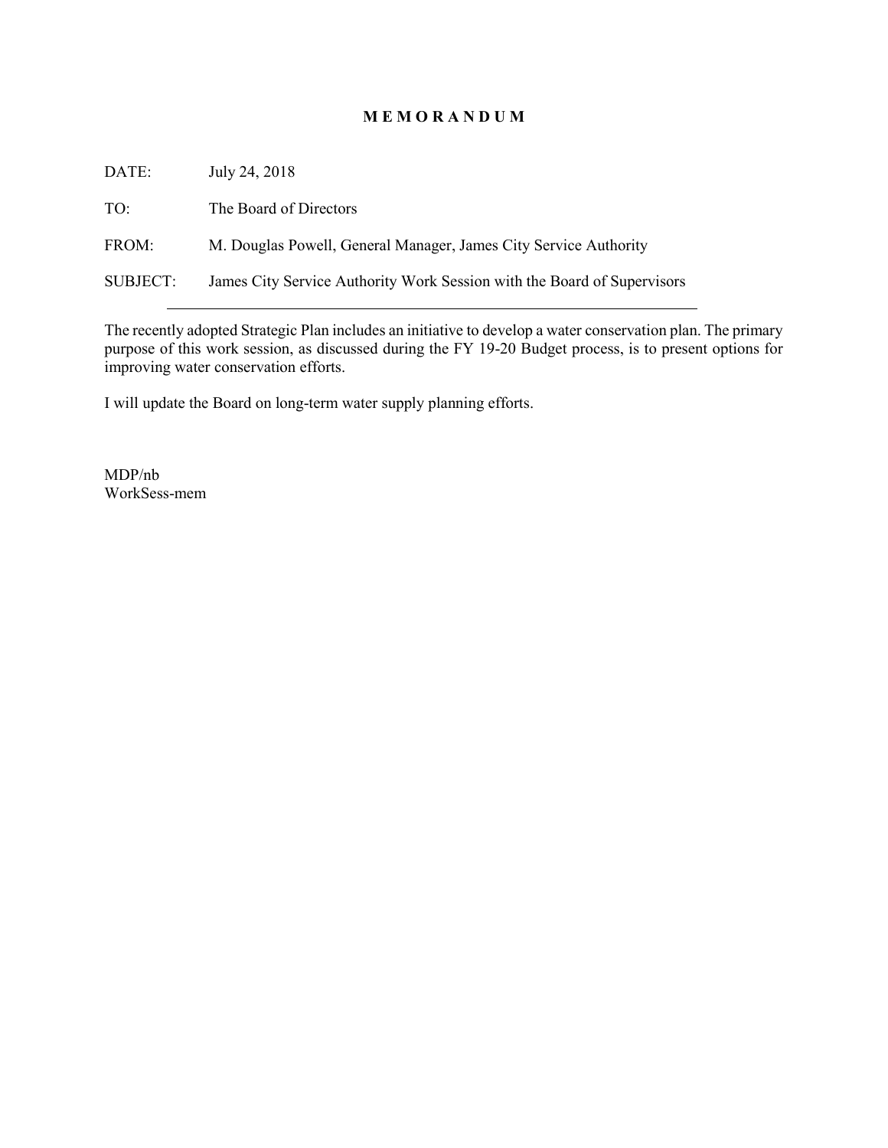### **M E M O R A N D U M**

| DATE:           | July 24, 2018                                                           |
|-----------------|-------------------------------------------------------------------------|
| TO:             | The Board of Directors                                                  |
| FROM:           | M. Douglas Powell, General Manager, James City Service Authority        |
| <b>SUBJECT:</b> | James City Service Authority Work Session with the Board of Supervisors |

The recently adopted Strategic Plan includes an initiative to develop a water conservation plan. The primary purpose of this work session, as discussed during the FY 19-20 Budget process, is to present options for improving water conservation efforts.

I will update the Board on long-term water supply planning efforts.

MDP/nb WorkSess-mem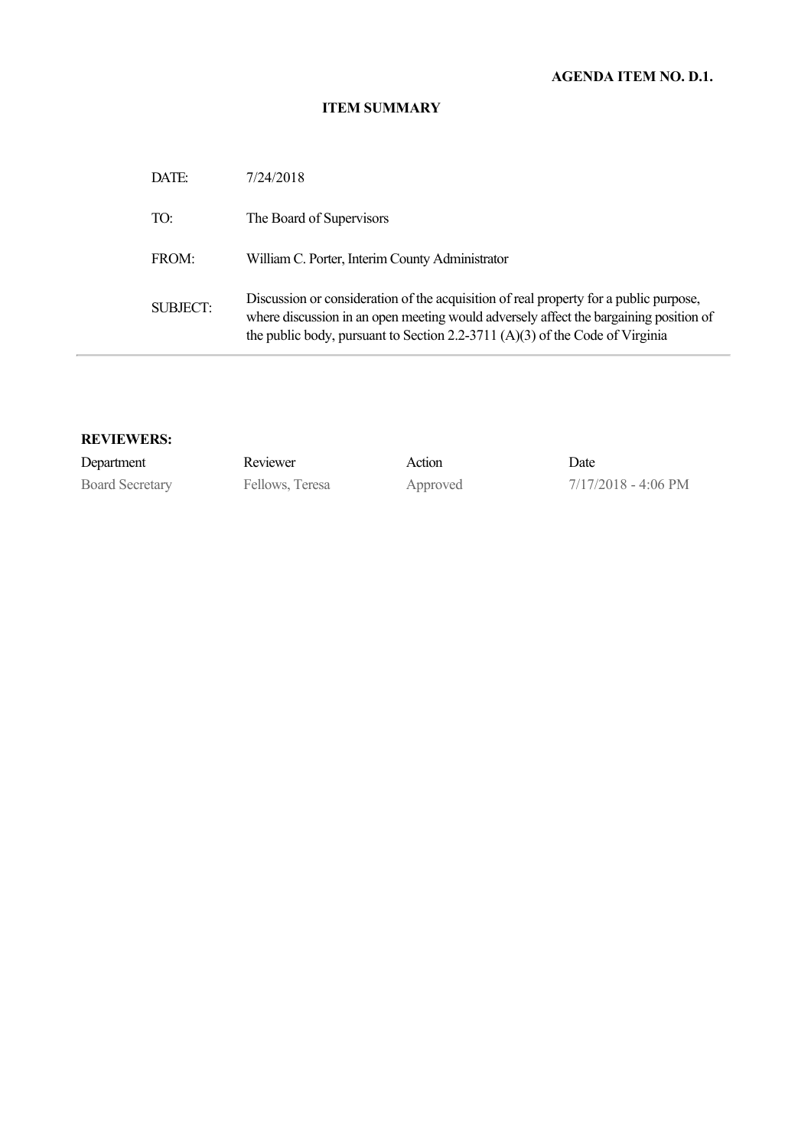# **AGENDA ITEM NO. D.1.**

### **ITEM SUMMARY**

| DATE:           | 7/24/2018                                                                                                                                                                                                                                                        |
|-----------------|------------------------------------------------------------------------------------------------------------------------------------------------------------------------------------------------------------------------------------------------------------------|
| TO:             | The Board of Supervisors                                                                                                                                                                                                                                         |
| FROM:           | William C. Porter, Interim County Administrator                                                                                                                                                                                                                  |
| <b>SUBJECT:</b> | Discussion or consideration of the acquisition of real property for a public purpose,<br>where discussion in an open meeting would adversely affect the bargaining position of<br>the public body, pursuant to Section 2.2-3711 $(A)(3)$ of the Code of Virginia |

#### **REVIEWERS:**

| Department             | Reviewer        | Action   | Date                          |
|------------------------|-----------------|----------|-------------------------------|
| <b>Board Secretary</b> | Fellows, Teresa | Approved | $7/17/2018 - 4:06 \text{ PM}$ |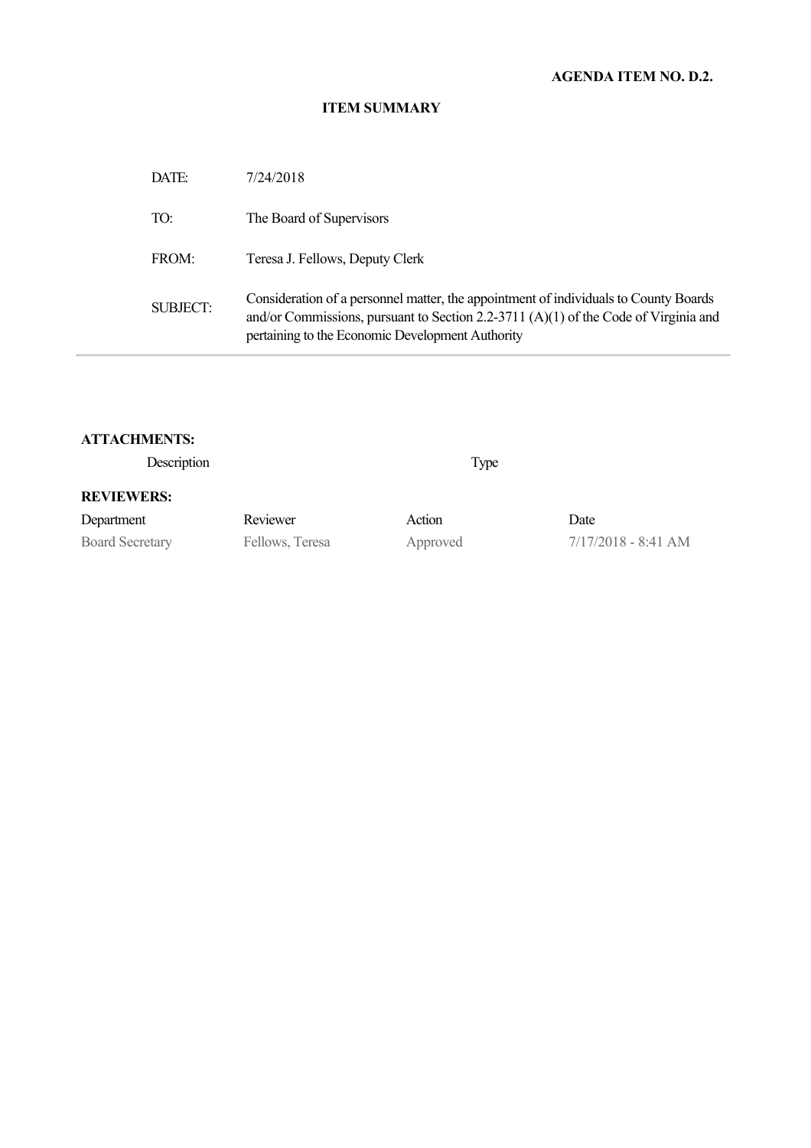# **AGENDA ITEM NO. D.2.**

# **ITEM SUMMARY**

| DATE:           | 7/24/2018                                                                                                                                                                                                                       |
|-----------------|---------------------------------------------------------------------------------------------------------------------------------------------------------------------------------------------------------------------------------|
| TO:             | The Board of Supervisors                                                                                                                                                                                                        |
| FROM:           | Teresa J. Fellows, Deputy Clerk                                                                                                                                                                                                 |
| <b>SUBJECT:</b> | Consideration of a personnel matter, the appointment of individuals to County Boards<br>and/or Commissions, pursuant to Section 2.2-3711 (A)(1) of the Code of Virginia and<br>pertaining to the Economic Development Authority |

### **ATTACHMENTS:**

Description Type

### **REVIEWERS:**

| Department             | Reviewer        | Action   | Date                  |
|------------------------|-----------------|----------|-----------------------|
| <b>Board Secretary</b> | Fellows, Teresa | Approved | $7/17/2018 - 8:41$ AM |